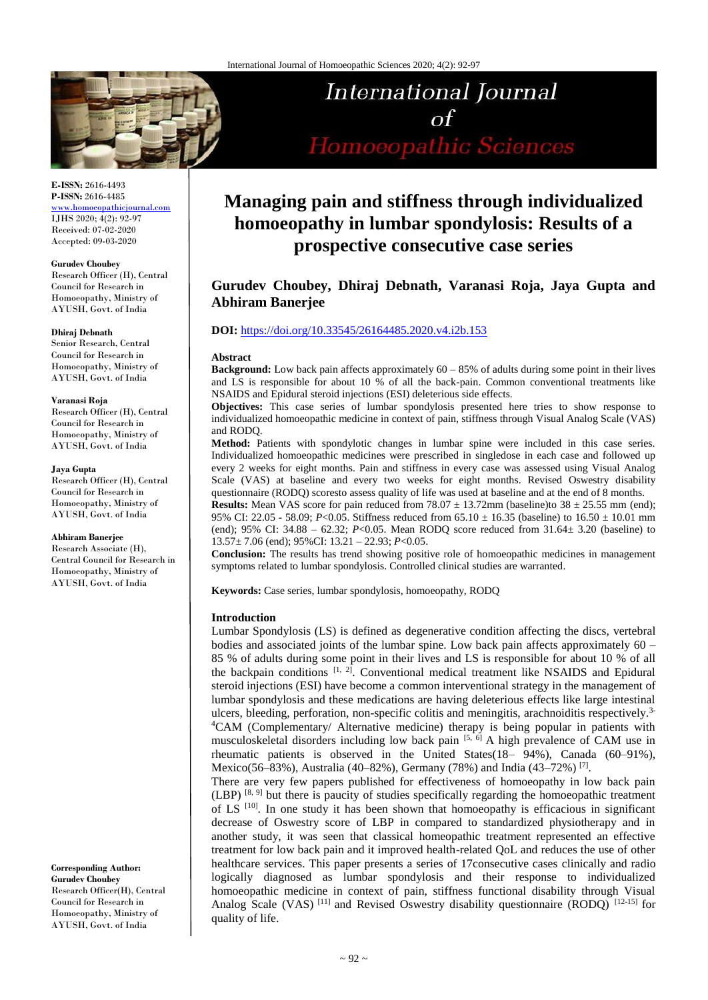

# **International Journal**  $\sigma$ f Homoeopathic Sciences

#### **E-ISSN:** 2616-4493 **P-ISSN:** 2616-4485

<www.homoeopathicjournal.com> IJHS 2020; 4(2): 92-97 Received: 07-02-2020 Accepted: 09-03-2020

#### **Gurudev Choubey**

Research Officer (H), Central Council for Research in Homoeopathy, Ministry of AYUSH, Govt. of India

#### **Dhiraj Debnath**

Senior Research, Central Council for Research in Homoeopathy, Ministry of AYUSH, Govt. of India

#### **Varanasi Roja**

Research Officer (H), Central Council for Research in Homoeopathy, Ministry of AYUSH, Govt. of India

#### **Jaya Gupta**

Research Officer (H), Central Council for Research in Homoeopathy, Ministry of AYUSH, Govt. of India

#### **Abhiram Banerjee**

Research Associate (H), Central Council for Research in Homoeopathy, Ministry of AYUSH, Govt. of India

**Corresponding Author: Gurudev Choubey** Research Officer(H), Central Council for Research in Homoeopathy, Ministry of AYUSH, Govt. of India

## **Managing pain and stiffness through individualized homoeopathy in lumbar spondylosis: Results of a prospective consecutive case series**

## **Gurudev Choubey, Dhiraj Debnath, Varanasi Roja, Jaya Gupta and Abhiram Banerjee**

#### **DOI:** <https://doi.org/10.33545/26164485.2020.v4.i2b.153>

#### **Abstract**

**Background:** Low back pain affects approximately 60 – 85% of adults during some point in their lives and LS is responsible for about 10 % of all the back-pain. Common conventional treatments like NSAIDS and Epidural steroid injections (ESI) deleterious side effects.

**Objectives:** This case series of lumbar spondylosis presented here tries to show response to individualized homoeopathic medicine in context of pain, stiffness through Visual Analog Scale (VAS) and RODQ.

**Method:** Patients with spondylotic changes in lumbar spine were included in this case series. Individualized homoeopathic medicines were prescribed in singledose in each case and followed up every 2 weeks for eight months. Pain and stiffness in every case was assessed using Visual Analog Scale (VAS) at baseline and every two weeks for eight months. Revised Oswestry disability questionnaire (RODQ) scoresto assess quality of life was used at baseline and at the end of 8 months.

**Results:** Mean VAS score for pain reduced from  $78.07 \pm 13.72$  mm (baseline)to  $38 \pm 25.55$  mm (end); 95% CI: 22.05 - 58.09; *P*<0.05. Stiffness reduced from 65.10  $\pm$  16.35 (baseline) to 16.50  $\pm$  10.01 mm (end);  $95\%$  CI:  $34.88 - 62.32$ ;  $P < 0.05$ . Mean RODQ score reduced from  $31.64 \pm 3.20$  (baseline) to 13.57± 7.06 (end); 95%CI: 13.21 – 22.93; *P*<0.05.

**Conclusion:** The results has trend showing positive role of homoeopathic medicines in management symptoms related to lumbar spondylosis. Controlled clinical studies are warranted.

**Keywords:** Case series, lumbar spondylosis, homoeopathy, RODQ

#### **Introduction**

Lumbar Spondylosis (LS) is defined as degenerative condition affecting the discs, vertebral bodies and associated joints of the lumbar spine. Low back pain affects approximately 60 – 85 % of adults during some point in their lives and LS is responsible for about 10 % of all the backpain conditions  $[1, 2]$ . Conventional medical treatment like NSAIDS and Epidural steroid injections (ESI) have become a common interventional strategy in the management of lumbar spondylosis and these medications are having deleterious effects like large intestinal ulcers, bleeding, perforation, non-specific colitis and meningitis, arachnoiditis respectively.3- <sup>4</sup>CAM (Complementary/ Alternative medicine) therapy is being popular in patients with musculoskeletal disorders including low back pain  $[5, 6]$  A high prevalence of CAM use in rheumatic patients is observed in the United States(18– 94%), Canada (60–91%), Mexico(56–83%), Australia (40–82%), Germany (78%) and India (43–72%) <sup>[7]</sup>.

There are very few papers published for effectiveness of homoeopathy in low back pain  $(LBP)$  [8, 9] but there is paucity of studies specifically regarding the homoeopathic treatment of LS  $[10]$ . In one study it has been shown that homoeopathy is efficacious in significant decrease of Oswestry score of LBP in compared to standardized physiotherapy and in another study, it was seen that classical homeopathic treatment represented an effective treatment for low back pain and it improved health-related QoL and reduces the use of other healthcare services. This paper presents a series of 17consecutive cases clinically and radio logically diagnosed as lumbar spondylosis and their response to individualized homoeopathic medicine in context of pain, stiffness functional disability through Visual Analog Scale (VAS)<sup>[11]</sup> and Revised Oswestry disability questionnaire (RODQ)<sup>[12-15]</sup> for quality of life.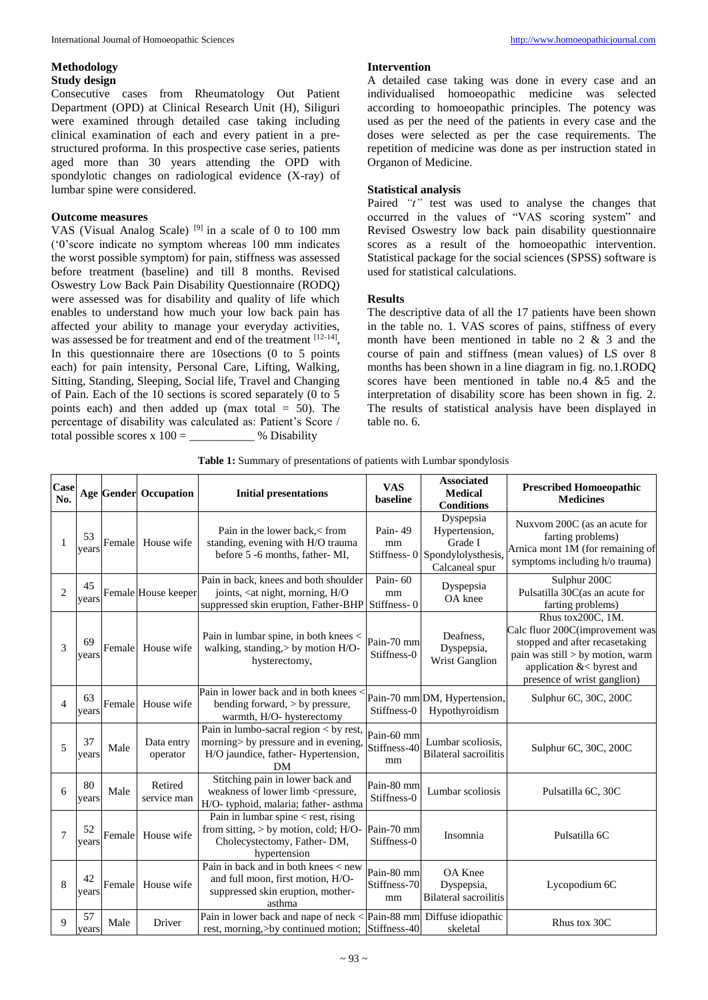#### **Methodology Study design**

Consecutive cases from Rheumatology Out Patient Department (OPD) at Clinical Research Unit (H), Siliguri were examined through detailed case taking including clinical examination of each and every patient in a prestructured proforma. In this prospective case series, patients aged more than 30 years attending the OPD with spondylotic changes on radiological evidence (X-ray) of lumbar spine were considered.

#### **Outcome measures**

VAS (Visual Analog Scale)  $[9]$  in a scale of 0 to 100 mm ('0'score indicate no symptom whereas 100 mm indicates the worst possible symptom) for pain, stiffness was assessed before treatment (baseline) and till 8 months. Revised Oswestry Low Back Pain Disability Questionnaire (RODQ) were assessed was for disability and quality of life which enables to understand how much your low back pain has affected your ability to manage your everyday activities, was assessed be for treatment and end of the treatment [12-14], In this questionnaire there are 10sections (0 to 5 points each) for pain intensity, Personal Care, Lifting, Walking, Sitting, Standing, Sleeping, Social life, Travel and Changing of Pain. Each of the 10 sections is scored separately (0 to 5 points each) and then added up (max total = 50). The percentage of disability was calculated as: Patient's Score / total possible scores x  $100 =$  % Disability

#### **Intervention**

A detailed case taking was done in every case and an individualised homoeopathic medicine was selected according to homoeopathic principles. The potency was used as per the need of the patients in every case and the doses were selected as per the case requirements. The repetition of medicine was done as per instruction stated in Organon of Medicine.

#### **Statistical analysis**

Paired "t" test was used to analyse the changes that occurred in the values of "VAS scoring system" and Revised Oswestry low back pain disability questionnaire scores as a result of the homoeopathic intervention. Statistical package for the social sciences (SPSS) software is used for statistical calculations.

#### **Results**

The descriptive data of all the 17 patients have been shown in the table no. 1. VAS scores of pains, stiffness of every month have been mentioned in table no  $2 \& 3$  and the course of pain and stiffness (mean values) of LS over 8 months has been shown in a line diagram in fig. no.1.RODQ scores have been mentioned in table no.4  $&$  5 and the interpretation of disability score has been shown in fig. 2. The results of statistical analysis have been displayed in table no. 6.

| Case<br>No.    |             |        | <b>Age Gender Occupation</b> | <b>Initial presentations</b>                                                                                                      | <b>VAS</b><br>baseline           | <b>Associated</b><br><b>Medical</b><br><b>Conditions</b>                      | <b>Prescribed Homoeopathic</b><br><b>Medicines</b>                                                                                                                                     |
|----------------|-------------|--------|------------------------------|-----------------------------------------------------------------------------------------------------------------------------------|----------------------------------|-------------------------------------------------------------------------------|----------------------------------------------------------------------------------------------------------------------------------------------------------------------------------------|
| 1              | 53<br>vears | Female | House wife                   | Pain in the lower back, < from<br>standing, evening with H/O trauma<br>before 5 -6 months, father-MI,                             | Pain-49<br>mm<br>Stiffness-0     | Dyspepsia<br>Hypertension,<br>Grade I<br>Spondylolysthesis,<br>Calcaneal spur | Nuxvom 200C (as an acute for<br>farting problems)<br>Arnica mont 1M (for remaining of<br>symptoms including h/o trauma)                                                                |
| $\overline{2}$ | 45<br>years |        | Female House keeper          | Pain in back, knees and both shoulder<br>joints, <at h="" morning,="" night,="" o<br="">suppressed skin eruption, Father-BHP</at> | Pain-60<br>mm<br>Stiffness-0     | Dyspepsia<br>OA knee                                                          | Sulphur 200C<br>Pulsatilla 30C(as an acute for<br>farting problems)                                                                                                                    |
| 3              | 69<br>years | Female | House wife                   | Pain in lumbar spine, in both knees <<br>walking, standing, > by motion H/O-<br>hysterectomy,                                     | Pain-70 mm<br>Stiffness-0        | Deafness.<br>Dyspepsia,<br>Wrist Ganglion                                     | Rhus tox200C, 1M.<br>Calc fluor 200C(improvement was<br>stopped and after recasetaking<br>pain was still > by motion, warm<br>application &< byrest and<br>presence of wrist ganglion) |
| $\overline{4}$ | 63<br>years | Female | House wife                   | Pain in lower back and in both knees<br>bending forward, > by pressure,<br>warmth, H/O- hysterectomy                              | Stiffness-0                      | Pain-70 mm DM, Hypertension,<br>Hypothyroidism                                | Sulphur 6C, 30C, 200C                                                                                                                                                                  |
| 5              | 37<br>years | Male   | Data entry<br>operator       | Pain in lumbo-sacral region < by rest,<br>morning> by pressure and in evening,<br>H/O jaundice, father-Hypertension,<br>DM        | Pain-60 mm<br>Stiffness-40<br>mm | Lumbar scoliosis,<br><b>Bilateral sacroilitis</b>                             | Sulphur 6C, 30C, 200C                                                                                                                                                                  |
| 6              | 80<br>years | Male   | Retired<br>service man       | Stitching pain in lower back and<br>weakness of lower limb <pressure,<br>H/O-typhoid, malaria; father-asthma</pressure,<br>       | Pain-80 mm<br>Stiffness-0        | Lumbar scoliosis                                                              | Pulsatilla 6C, 30C                                                                                                                                                                     |
| $\tau$         | 52<br>years | Female | House wife                   | Pain in lumbar spine $\lt$ rest, rising<br>from sitting, $>$ by motion, cold; H/O-<br>Cholecystectomy, Father-DM,<br>hypertension | Pain-70 mm<br>Stiffness-0        | Insomnia                                                                      | Pulsatilla 6C                                                                                                                                                                          |
| 8              | 42<br>years | Female | House wife                   | Pain in back and in both knees < new<br>and full moon, first motion, H/O-<br>suppressed skin eruption, mother-<br>asthma          | Pain-80 mm<br>Stiffness-70<br>mm | OA Knee<br>Dyspepsia,<br><b>Bilateral sacroilitis</b>                         | Lycopodium 6C                                                                                                                                                                          |
| 9              | 57<br>years | Male   | Driver                       | Pain in lower back and nape of neck $\langle$ Pain-88 mm Diffuse idiopathic<br>rest, morning, >by continued motion; Stiffness-40  |                                  | skeletal                                                                      | Rhus tox 30C                                                                                                                                                                           |

**Table 1:** Summary of presentations of patients with Lumbar spondylosis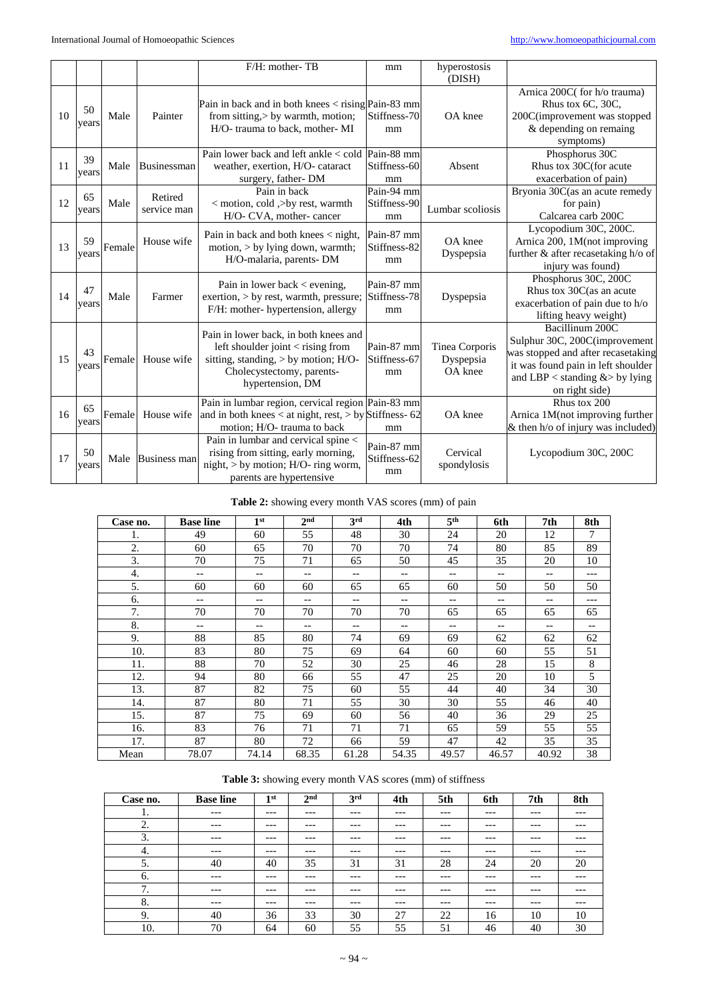|    |             |        |                        | F/H: mother-TB                                                                                                                                                      | mm                               | hyperostosis<br>(DISH)                 |                                                                                                                                                                                   |
|----|-------------|--------|------------------------|---------------------------------------------------------------------------------------------------------------------------------------------------------------------|----------------------------------|----------------------------------------|-----------------------------------------------------------------------------------------------------------------------------------------------------------------------------------|
| 10 | 50<br>years | Male   | Painter                | Pain in back and in both knees $\langle$ rising Pain-83 mm<br>from sitting, > by warmth, motion;<br>H/O-trauma to back, mother-MI                                   | Stiffness-70<br>mm               | OA knee                                | Arnica 200C(for h/o trauma)<br>Rhus tox 6C, 30C,<br>200C(improvement was stopped<br>& depending on remaing<br>symptoms)                                                           |
| 11 | 39<br>years | Male   | Businessman            | Pain lower back and left ankle < cold   Pain-88 mm<br>weather, exertion, H/O- cataract<br>surgery, father-DM                                                        | Stiffness-60<br>mm               | Absent                                 | Phosphorus 30C<br>Rhus tox 30C(for acute<br>exacerbation of pain)                                                                                                                 |
| 12 | 65<br>years | Male   | Retired<br>service man | Pain in back<br>< motion, cold ,>by rest, warmth<br>H/O- CVA, mother-cancer                                                                                         | Pain-94 mm<br>Stiffness-90<br>mm | Lumbar scoliosis                       | Bryonia 30C(as an acute remedy<br>for pain)<br>Calcarea carb 200C                                                                                                                 |
| 13 | 59<br>years | Female | House wife             | Pain in back and both knees < night,<br>motion, $>$ by lying down, warmth;<br>H/O-malaria, parents- DM                                                              | Pain-87 mm<br>Stiffness-82<br>mm | OA knee<br>Dyspepsia                   | Lycopodium 30C, 200C.<br>Arnica 200, 1M(not improving<br>further & after recasetaking h/o of<br>injury was found)                                                                 |
| 14 | 47<br>years | Male   | Farmer                 | Pain in lower back $\lt$ evening,<br>exertion, $>$ by rest, warmth, pressure;<br>F/H: mother- hypertension, allergy                                                 | Pain-87 mm<br>Stiffness-78<br>mm | Dyspepsia                              | Phosphorus 30C, 200C<br>Rhus tox 30C(as an acute<br>exacerbation of pain due to h/o<br>lifting heavy weight)                                                                      |
| 15 | 43<br>years | Female | House wife             | Pain in lower back, in both knees and<br>left shoulder joint < rising from<br>sitting, standing, > by motion; H/O-<br>Cholecystectomy, parents-<br>hypertension, DM | Pain-87 mm<br>Stiffness-67<br>mm | Tinea Corporis<br>Dyspepsia<br>OA knee | Bacillinum 200C<br>Sulphur 30C, 200C(improvement<br>was stopped and after recasetaking<br>it was found pain in left shoulder<br>and LBP < standing $&$ by lying<br>on right side) |
| 16 | 65<br>vears | Female | House wife             | Pain in lumbar region, cervical region Pain-83 mm<br>and in both knees $<$ at night, rest, $>$ by Stiffness- 62<br>motion; H/O- trauma to back                      | mm                               | OA knee                                | Rhus tox 200<br>Arnica 1M(not improving further<br>& then h/o of injury was included)                                                                                             |
| 17 | 50<br>vears | Male   | <b>Business man</b>    | Pain in lumbar and cervical spine <<br>rising from sitting, early morning,<br>night, $>$ by motion; H/O- ring worm,<br>parents are hypertensive                     | Pain-87 mm<br>Stiffness-62<br>mm | Cervical<br>spondylosis                | Lycopodium 30C, 200C                                                                                                                                                              |

**Table 2:** showing every month VAS scores (mm) of pain

| Case no. | <b>Base line</b> | 1 <sup>st</sup> | 2 <sub>nd</sub> | 3 <sup>rd</sup>          | 4th   | 5 <sup>th</sup> | 6th   | 7th                      | 8th |
|----------|------------------|-----------------|-----------------|--------------------------|-------|-----------------|-------|--------------------------|-----|
| 1.       | 49               | 60              | 55              | 48                       | 30    | 24              | 20    | 12                       | 7   |
| 2.       | 60               | 65              | 70              | 70                       | 70    | 74              | 80    | 85                       | 89  |
| 3.       | 70               | 75              | 71              | 65                       | 50    | 45              | 35    | 20                       | 10  |
| 4.       | $-$              | --              | --              | $-\,-$                   | $-$   | $- -$           | --    | $- -$                    | --- |
| 5.       | 60               | 60              | 60              | 65                       | 65    | 60              | 50    | 50                       | 50  |
| 6.       | $- -$            | --              | --              | $-\,-$                   | $- -$ | $-\,-$          | --    | $\qquad \qquad -$        | --- |
| 7.       | 70               | 70              | 70              | 70                       | 70    | 65              | 65    | 65                       | 65  |
| 8.       | --               | --              | --              | $\overline{\phantom{m}}$ | $- -$ | --              | --    | $\overline{\phantom{m}}$ | --  |
| 9.       | 88               | 85              | 80              | 74                       | 69    | 69              | 62    | 62                       | 62  |
| 10.      | 83               | 80              | 75              | 69                       | 64    | 60              | 60    | 55                       | 51  |
| 11.      | 88               | 70              | 52              | 30                       | 25    | 46              | 28    | 15                       | 8   |
| 12.      | 94               | 80              | 66              | 55                       | 47    | 25              | 20    | 10                       | 5   |
| 13.      | 87               | 82              | 75              | 60                       | 55    | 44              | 40    | 34                       | 30  |
| 14.      | 87               | 80              | 71              | 55                       | 30    | 30              | 55    | 46                       | 40  |
| 15.      | 87               | 75              | 69              | 60                       | 56    | 40              | 36    | 29                       | 25  |
| 16.      | 83               | 76              | 71              | 71                       | 71    | 65              | 59    | 55                       | 55  |
| 17.      | 87               | 80              | 72              | 66                       | 59    | 47              | 42    | 35                       | 35  |
| Mean     | 78.07            | 74.14           | 68.35           | 61.28                    | 54.35 | 49.57           | 46.57 | 40.92                    | 38  |

### Table 3: showing every month VAS scores (mm) of stiffness

| Case no.                   | <b>Base line</b> | 1 <sub>st</sub> | 2 <sup>nd</sup> | 3 <sup>rd</sup> | 4th   | 5th   | 6th   | 7 <sub>th</sub> | 8th   |
|----------------------------|------------------|-----------------|-----------------|-----------------|-------|-------|-------|-----------------|-------|
| .,                         | $---$            | $---$           | $---$           | $---$           | $---$ | $---$ | ---   | $---$           | $---$ |
| 2.                         | $---$            | $---$           | $---$           | $---$           | $---$ | $---$ | ---   | $---$           | $---$ |
| 3.                         | ---              | $---$           | $---$           | $---$           | $---$ | $---$ | ---   | $---$           | ---   |
| 4.                         | $---$            | $---$           | $---$           | $---$           | $---$ | $---$ | ---   | $---$           | $---$ |
| 5.                         | 40               | 40              | 35              | 31              | 31    | 28    | 24    | 20              | 20    |
| -6.                        | ---              | $---$           | $---$           | $---$           | $---$ | $---$ | ---   | $---$           | $---$ |
| $\mathbf{r}$<br>$\prime$ . | $---$            | $---$           | $---$           | $---$           | $---$ | $---$ | $---$ | $---$           | $---$ |
| 8.                         | ---              | $---$           | $---$           | $---$           | $---$ | $---$ | ---   | $---$           | ---   |
| 9.                         | 40               | 36              | 33              | 30              | 27    | 22    | 16    | 10              | 10    |
| 10.                        | 70               | 64              | 60              | 55              | 55    | 51    | 46    | 40              | 30    |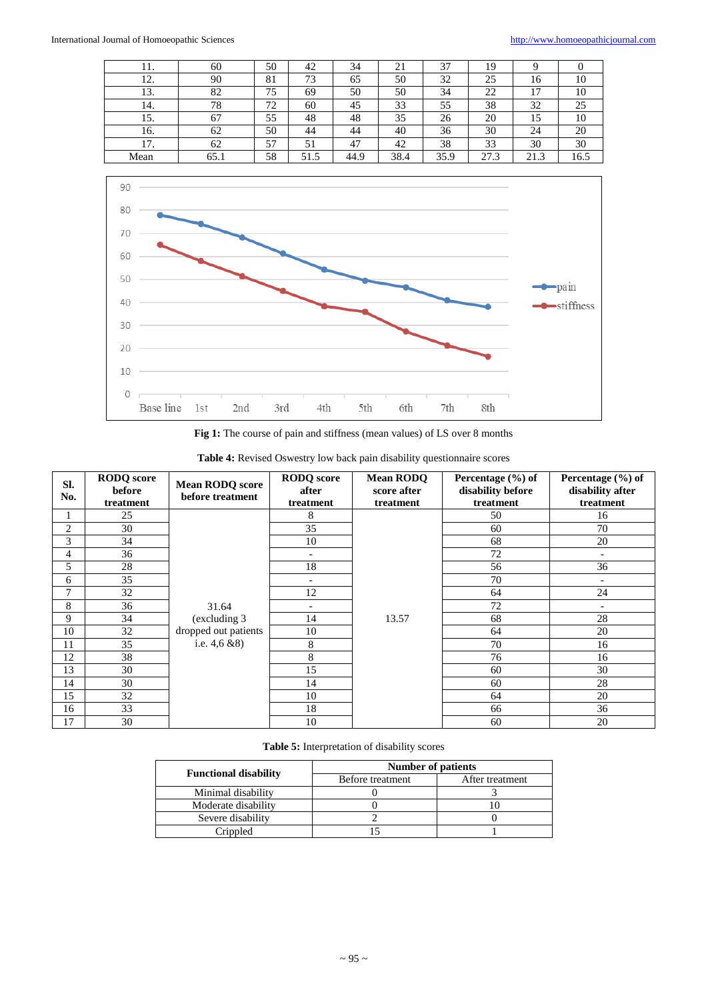| 11.  | 60   | 50 | 42   | 34   | 21   | 37   | 19   |      |      |
|------|------|----|------|------|------|------|------|------|------|
| 12.  | 90   | 81 | 73   | 65   | 50   | 32   | 25   | 16   | 10   |
| 13.  | 82   | 75 | 69   | 50   | 50   | 34   | 22   | 17   | 10   |
| 14.  | 78   | 72 | 60   | 45   | 33   | 55   | 38   | 32   | 25   |
| 15.  | 67   | 55 | 48   | 48   | 35   | 26   | 20   | 15   | 10   |
| 16.  | 62   | 50 | 44   | 44   | 40   | 36   | 30   | 24   | 20   |
| 17.  | 62   | 57 | 51   | 47   | 42   | 38   | 33   | 30   | 30   |
| Mean | 65.1 | 58 | 51.5 | 44.9 | 38.4 | 35.9 | 27.3 | 21.3 | 16.5 |



|  |  |  |  |  |  | Fig 1: The course of pain and stiffness (mean values) of LS over 8 months |
|--|--|--|--|--|--|---------------------------------------------------------------------------|
|--|--|--|--|--|--|---------------------------------------------------------------------------|

| Table 4: Revised Oswestry low back pain disability questionnaire scores |  |
|-------------------------------------------------------------------------|--|
|-------------------------------------------------------------------------|--|

| SI.<br>No. | <b>RODQ</b> score<br>before<br>treatment | <b>Mean RODQ score</b><br>before treatment | <b>RODQ</b> score<br>after<br>treatment | <b>Mean RODQ</b><br>score after<br>treatment | Percentage $(\% )$ of<br>disability before<br>treatment | Percentage (%) of<br>disability after<br>treatment |
|------------|------------------------------------------|--------------------------------------------|-----------------------------------------|----------------------------------------------|---------------------------------------------------------|----------------------------------------------------|
|            | 25                                       |                                            | 8                                       |                                              | 50                                                      | 16                                                 |
| 2          | 30                                       |                                            | 35                                      |                                              | 60                                                      | 70                                                 |
| 3          | 34                                       |                                            | 10                                      |                                              | 68                                                      | 20                                                 |
| 4          | 36                                       |                                            | $\overline{\phantom{a}}$                |                                              | 72                                                      | $\overline{\phantom{a}}$                           |
| 5          | 28                                       |                                            | 18                                      |                                              | 56                                                      | 36                                                 |
| 6          | 35                                       |                                            | $\qquad \qquad \blacksquare$            |                                              | 70                                                      | $\overline{\phantom{a}}$                           |
| 7          | 32                                       |                                            | 12                                      |                                              | 64                                                      | 24                                                 |
| 8          | 36                                       | 31.64                                      | $\overline{\phantom{a}}$                |                                              | 72                                                      | $\overline{\phantom{a}}$                           |
| 9          | 34                                       | (excluding 3)                              | 14                                      | 13.57                                        | 68                                                      | 28                                                 |
| 10         | 32                                       | dropped out patients                       | 10                                      |                                              | 64                                                      | 20                                                 |
| 11         | 35                                       | i.e. $4,6 \& 8$ )                          | 8                                       |                                              | 70                                                      | 16                                                 |
| 12         | 38                                       |                                            | 8                                       |                                              | 76                                                      | 16                                                 |
| 13         | 30                                       |                                            | 15                                      |                                              | 60                                                      | 30                                                 |
| 14         | 30                                       |                                            | 14                                      |                                              | 60                                                      | 28                                                 |
| 15         | 32                                       |                                            | 10                                      |                                              | 64                                                      | 20                                                 |
| 16         | 33                                       |                                            | 18                                      |                                              | 66                                                      | 36                                                 |
| 17         | 30                                       |                                            | 10                                      |                                              | 60                                                      | 20                                                 |

|  | <b>Table 5:</b> Interpretation of disability scores |  |  |
|--|-----------------------------------------------------|--|--|
|--|-----------------------------------------------------|--|--|

|                              | <b>Number of patients</b> |                 |  |  |  |  |
|------------------------------|---------------------------|-----------------|--|--|--|--|
| <b>Functional disability</b> | Before treatment          | After treatment |  |  |  |  |
| Minimal disability           |                           |                 |  |  |  |  |
| Moderate disability          |                           |                 |  |  |  |  |
| Severe disability            |                           |                 |  |  |  |  |
| Crippled                     |                           |                 |  |  |  |  |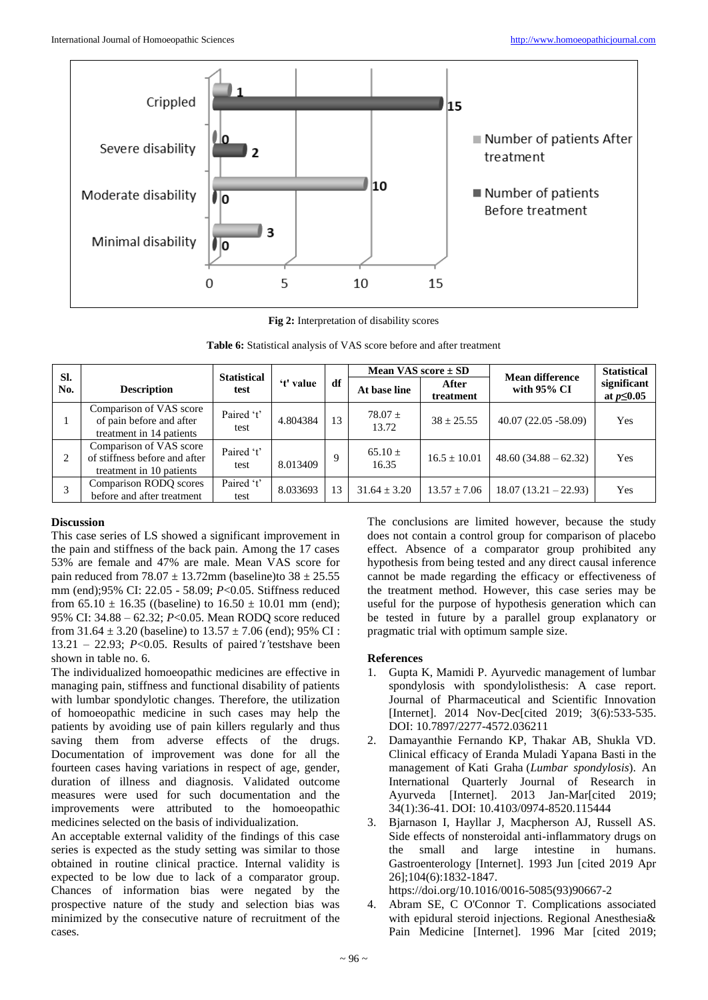

**Fig 2:** Interpretation of disability scores

| SI. |                                                                                 | <b>Statistical</b> |           |    | Mean VAS score $\pm$ SD |                    | <b>Mean difference</b> | <b>Statistical</b>              |
|-----|---------------------------------------------------------------------------------|--------------------|-----------|----|-------------------------|--------------------|------------------------|---------------------------------|
| No. | <b>Description</b>                                                              | test               | 't' value | df | At base line            | After<br>treatment | with $95\%$ CI         | significant<br>at $p \leq 0.05$ |
|     | Comparison of VAS score<br>of pain before and after<br>treatment in 14 patients | Paired 't'<br>test | 4.804384  | 13 | $78.07 \pm$<br>13.72    | $38 \pm 25.55$     | $40.07(22.05 - 58.09)$ | Yes                             |
| 2   | Comparison of VAS score<br>of stiffness before and after<br>10.71               | Paired 't'<br>test | 8.013409  |    | $65.10 \pm$<br>16.35    | $16.5 \pm 10.01$   | $48.60(34.88-62.32)$   | Yes                             |

#### **Discussion**

3

This case series of LS showed a significant improvement in the pain and stiffness of the back pain. Among the 17 cases 53% are female and 47% are male. Mean VAS score for pain reduced from  $78.07 \pm 13.72$  mm (baseline)to  $38 \pm 25.55$ mm (end);95% CI: 22.05 - 58.09; *P*<0.05. Stiffness reduced from  $65.10 \pm 16.35$  ((baseline) to  $16.50 \pm 10.01$  mm (end); 95% CI: 34.88 – 62.32; *P*<0.05. Mean RODQ score reduced from  $31.64 \pm 3.20$  (baseline) to  $13.57 \pm 7.06$  (end); 95% CI : 13.21 – 22.93; *P*<0.05. Results of paired*'t'*testshave been shown in table no. 6.

Paired 't'

treatment in 10 patients

Comparison RODQ scores before and after treatment

The individualized homoeopathic medicines are effective in managing pain, stiffness and functional disability of patients with lumbar spondylotic changes. Therefore, the utilization of homoeopathic medicine in such cases may help the patients by avoiding use of pain killers regularly and thus saving them from adverse effects of the drugs. Documentation of improvement was done for all the fourteen cases having variations in respect of age, gender, duration of illness and diagnosis. Validated outcome measures were used for such documentation and the improvements were attributed to the homoeopathic medicines selected on the basis of individualization.

An acceptable external validity of the findings of this case series is expected as the study setting was similar to those obtained in routine clinical practice. Internal validity is expected to be low due to lack of a comparator group. Chances of information bias were negated by the prospective nature of the study and selection bias was minimized by the consecutive nature of recruitment of the cases.

The conclusions are limited however, because the study does not contain a control group for comparison of placebo effect. Absence of a comparator group prohibited any hypothesis from being tested and any direct causal inference cannot be made regarding the efficacy or effectiveness of the treatment method. However, this case series may be useful for the purpose of hypothesis generation which can be tested in future by a parallel group explanatory or pragmatic trial with optimum sample size.

#### **References**

test 8.033693 13 31.64 ± 3.20 13.57 ± 7.06 18.07 (13.21 – 22.93) Yes

- 1. Gupta K, Mamidi P. Ayurvedic management of lumbar spondylosis with spondylolisthesis: A case report. Journal of Pharmaceutical and Scientific Innovation [Internet]. 2014 Nov-Dec[cited 2019; 3(6):533-535. DOI: 10.7897/2277-4572.036211
- 2. Damayanthie Fernando KP, Thakar AB, Shukla VD. Clinical efficacy of Eranda Muladi Yapana Basti in the management of Kati Graha (*Lumbar spondylosis*). An International Quarterly Journal of Research in Ayurveda [Internet]. 2013 Jan-Mar[cited 2019; 34(1):36-41. DOI: 10.4103/0974-8520.115444
- 3. Bjarnason I, Hayllar J, Macpherson AJ, Russell AS. Side effects of nonsteroidal anti-inflammatory drugs on the small and large intestine in humans. Gastroenterology [Internet]. 1993 Jun [cited 2019 Apr 26];104(6):1832-1847.

https://doi.org/10.1016/0016-5085(93)90667-2

4. Abram SE, C O'Connor T. Complications associated with epidural steroid injections. Regional Anesthesia& Pain Medicine [Internet]. 1996 Mar [cited 2019;